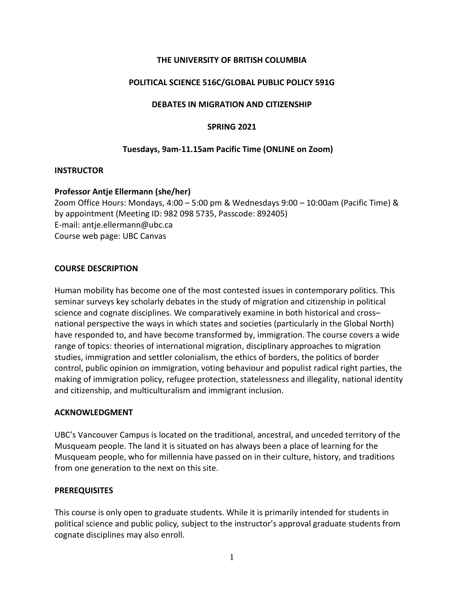## **THE UNIVERSITY OF BRITISH COLUMBIA**

#### **POLITICAL SCIENCE 516C/GLOBAL PUBLIC POLICY 591G**

#### **DEBATES IN MIGRATION AND CITIZENSHIP**

#### **SPRING 2021**

#### **Tuesdays, 9am-11.15am Pacific Time (ONLINE on Zoom)**

#### **INSTRUCTOR**

#### **Professor Antje Ellermann (she/her)**

Zoom Office Hours: Mondays, 4:00 – 5:00 pm & Wednesdays 9:00 – 10:00am (Pacific Time) & by appointment (Meeting ID: 982 098 5735, Passcode: 892405) E-mail: antje.ellermann@ubc.ca Course web page: UBC Canvas

#### **COURSE DESCRIPTION**

Human mobility has become one of the most contested issues in contemporary politics. This seminar surveys key scholarly debates in the study of migration and citizenship in political science and cognate disciplines. We comparatively examine in both historical and cross– national perspective the ways in which states and societies (particularly in the Global North) have responded to, and have become transformed by, immigration. The course covers a wide range of topics: theories of international migration, disciplinary approaches to migration studies, immigration and settler colonialism, the ethics of borders, the politics of border control, public opinion on immigration, voting behaviour and populist radical right parties, the making of immigration policy, refugee protection, statelessness and illegality, national identity and citizenship, and multiculturalism and immigrant inclusion.

#### **ACKNOWLEDGMENT**

UBC's Vancouver Campus is located on the traditional, ancestral, and unceded territory of the Musqueam people. The land it is situated on has always been a place of learning for the Musqueam people, who for millennia have passed on in their culture, history, and traditions from one generation to the next on this site.

#### **PREREQUISITES**

This course is only open to graduate students. While it is primarily intended for students in political science and public policy*,* subject to the instructor's approval graduate students from cognate disciplines may also enroll.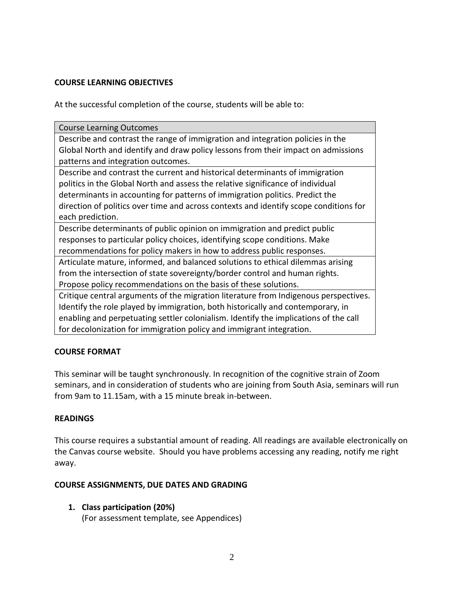## **COURSE LEARNING OBJECTIVES**

At the successful completion of the course, students will be able to:

| <b>Course Learning Outcomes</b>                                                       |
|---------------------------------------------------------------------------------------|
| Describe and contrast the range of immigration and integration policies in the        |
| Global North and identify and draw policy lessons from their impact on admissions     |
| patterns and integration outcomes.                                                    |
| Describe and contrast the current and historical determinants of immigration          |
| politics in the Global North and assess the relative significance of individual       |
| determinants in accounting for patterns of immigration politics. Predict the          |
| direction of politics over time and across contexts and identify scope conditions for |
| each prediction.                                                                      |
| Describe determinants of public opinion on immigration and predict public             |
| responses to particular policy choices, identifying scope conditions. Make            |
| recommendations for policy makers in how to address public responses.                 |
| Articulate mature, informed, and balanced solutions to ethical dilemmas arising       |
| from the intersection of state sovereignty/border control and human rights.           |
| Propose policy recommendations on the basis of these solutions.                       |
| Critique central arguments of the migration literature from Indigenous perspectives.  |
| Identify the role played by immigration, both historically and contemporary, in       |
| enabling and perpetuating settler colonialism. Identify the implications of the call  |
| for decolonization for immigration policy and immigrant integration.                  |

# **COURSE FORMAT**

This seminar will be taught synchronously. In recognition of the cognitive strain of Zoom seminars, and in consideration of students who are joining from South Asia, seminars will run from 9am to 11.15am, with a 15 minute break in-between.

## **READINGS**

This course requires a substantial amount of reading. All readings are available electronically on the Canvas course website. Should you have problems accessing any reading, notify me right away.

## **COURSE ASSIGNMENTS, DUE DATES AND GRADING**

**1. Class participation (20%)** (For assessment template, see Appendices)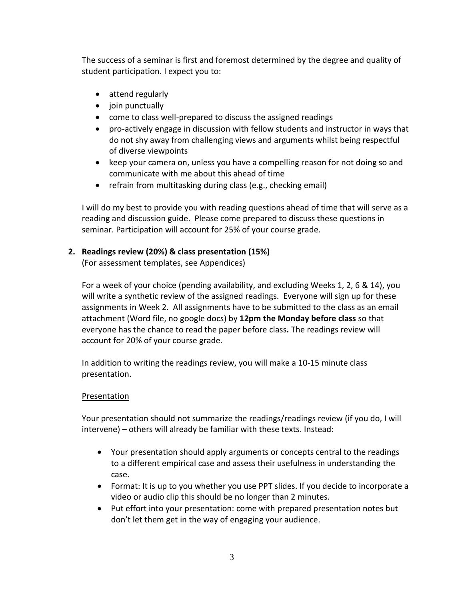The success of a seminar is first and foremost determined by the degree and quality of student participation. I expect you to:

- attend regularly
- join punctually
- come to class well-prepared to discuss the assigned readings
- pro-actively engage in discussion with fellow students and instructor in ways that do not shy away from challenging views and arguments whilst being respectful of diverse viewpoints
- keep your camera on, unless you have a compelling reason for not doing so and communicate with me about this ahead of time
- $\bullet$  refrain from multitasking during class (e.g., checking email)

I will do my best to provide you with reading questions ahead of time that will serve as a reading and discussion guide.Please come prepared to discuss these questions in seminar. Participation will account for 25% of your course grade.

# **2. Readings review (20%) & class presentation (15%)**

(For assessment templates, see Appendices)

For a week of your choice (pending availability, and excluding Weeks 1, 2, 6 & 14), you will write a synthetic review of the assigned readings. Everyone will sign up for these assignments in Week 2. All assignments have to be submitted to the class as an email attachment (Word file, no google docs) by **12pm the Monday before class** so that everyone has the chance to read the paper before class**.** The readings review will account for 20% of your course grade.

In addition to writing the readings review, you will make a 10-15 minute class presentation.

# Presentation

Your presentation should not summarize the readings/readings review (if you do, I will intervene) – others will already be familiar with these texts. Instead:

- Your presentation should apply arguments or concepts central to the readings to a different empirical case and assess their usefulness in understanding the case.
- Format: It is up to you whether you use PPT slides. If you decide to incorporate a video or audio clip this should be no longer than 2 minutes.
- Put effort into your presentation: come with prepared presentation notes but don't let them get in the way of engaging your audience.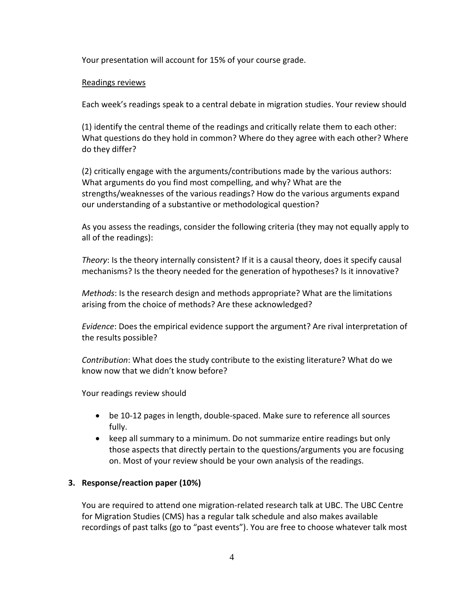Your presentation will account for 15% of your course grade.

## Readings reviews

Each week's readings speak to a central debate in migration studies. Your review should

(1) identify the central theme of the readings and critically relate them to each other: What questions do they hold in common? Where do they agree with each other? Where do they differ?

(2) critically engage with the arguments/contributions made by the various authors: What arguments do you find most compelling, and why? What are the strengths/weaknesses of the various readings? How do the various arguments expand our understanding of a substantive or methodological question?

As you assess the readings, consider the following criteria (they may not equally apply to all of the readings):

*Theory*: Is the theory internally consistent? If it is a causal theory, does it specify causal mechanisms? Is the theory needed for the generation of hypotheses? Is it innovative?

*Methods*: Is the research design and methods appropriate? What are the limitations arising from the choice of methods? Are these acknowledged?

*Evidence*: Does the empirical evidence support the argument? Are rival interpretation of the results possible?

*Contribution*: What does the study contribute to the existing literature? What do we know now that we didn't know before?

Your readings review should

- be 10-12 pages in length, double-spaced. Make sure to reference all sources fully.
- keep all summary to a minimum. Do not summarize entire readings but only those aspects that directly pertain to the questions/arguments you are focusing on. Most of your review should be your own analysis of the readings.

# **3. Response/reaction paper (10%)**

You are required to attend one migration-related research talk at UBC. The UBC Centre for Migration Studies (CMS) has a regular talk schedule and also makes available recordings of past talks (go to "past events"). You are free to choose whatever talk most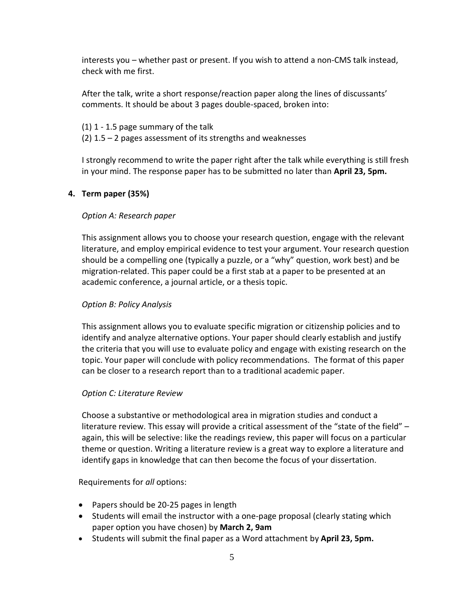interests you – whether past or present. If you wish to attend a non-CMS talk instead, check with me first.

After the talk, write a short response/reaction paper along the lines of discussants' comments. It should be about 3 pages double-spaced, broken into:

#### (1) 1 - 1.5 page summary of the talk

(2)  $1.5 - 2$  pages assessment of its strengths and weaknesses

I strongly recommend to write the paper right after the talk while everything is still fresh in your mind. The response paper has to be submitted no later than **April 23, 5pm.**

# **4. Term paper (35%)**

# *Option A: Research paper*

This assignment allows you to choose your research question, engage with the relevant literature, and employ empirical evidence to test your argument. Your research question should be a compelling one (typically a puzzle, or a "why" question, work best) and be migration-related. This paper could be a first stab at a paper to be presented at an academic conference, a journal article, or a thesis topic.

## *Option B: Policy Analysis*

This assignment allows you to evaluate specific migration or citizenship policies and to identify and analyze alternative options. Your paper should clearly establish and justify the criteria that you will use to evaluate policy and engage with existing research on the topic. Your paper will conclude with policy recommendations. The format of this paper can be closer to a research report than to a traditional academic paper.

## *Option C: Literature Review*

Choose a substantive or methodological area in migration studies and conduct a literature review. This essay will provide a critical assessment of the "state of the field" – again, this will be selective: like the readings review, this paper will focus on a particular theme or question. Writing a literature review is a great way to explore a literature and identify gaps in knowledge that can then become the focus of your dissertation.

## Requirements for *all* options:

- Papers should be 20-25 pages in length
- Students will email the instructor with a one-page proposal (clearly stating which paper option you have chosen) by **March 2, 9am**
- Students will submit the final paper as a Word attachment by **April 23, 5pm.**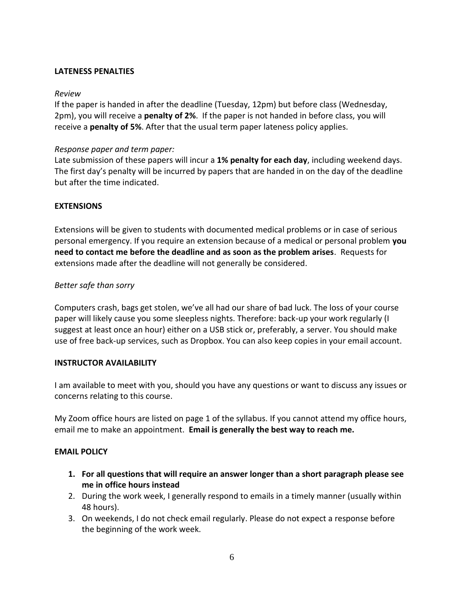## **LATENESS PENALTIES**

## *Review*

If the paper is handed in after the deadline (Tuesday, 12pm) but before class (Wednesday, 2pm), you will receive a **penalty of 2%**. If the paper is not handed in before class, you will receive a **penalty of 5%**. After that the usual term paper lateness policy applies.

# *Response paper and term paper:*

Late submission of these papers will incur a **1% penalty for each day**, including weekend days. The first day's penalty will be incurred by papers that are handed in on the day of the deadline but after the time indicated.

# **EXTENSIONS**

Extensions will be given to students with documented medical problems or in case of serious personal emergency. If you require an extension because of a medical or personal problem **you need to contact me before the deadline and as soon as the problem arises**. Requests for extensions made after the deadline will not generally be considered.

# *Better safe than sorry*

Computers crash, bags get stolen, we've all had our share of bad luck. The loss of your course paper will likely cause you some sleepless nights. Therefore: back-up your work regularly (I suggest at least once an hour) either on a USB stick or, preferably, a server. You should make use of free back-up services, such as Dropbox. You can also keep copies in your email account.

## **INSTRUCTOR AVAILABILITY**

I am available to meet with you, should you have any questions or want to discuss any issues or concerns relating to this course.

My Zoom office hours are listed on page 1 of the syllabus. If you cannot attend my office hours, email me to make an appointment. **Email is generally the best way to reach me.**

## **EMAIL POLICY**

- **1. For all questions that will require an answer longer than a short paragraph please see me in office hours instead**
- 2. During the work week, I generally respond to emails in a timely manner (usually within 48 hours).
- 3. On weekends, I do not check email regularly. Please do not expect a response before the beginning of the work week.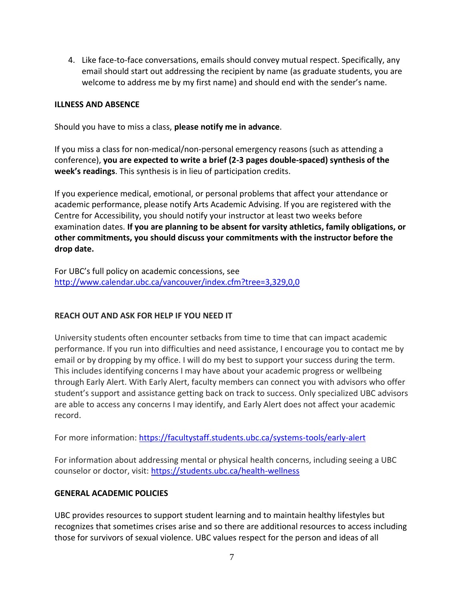4. Like face-to-face conversations, emails should convey mutual respect. Specifically, any email should start out addressing the recipient by name (as graduate students, you are welcome to address me by my first name) and should end with the sender's name.

## **ILLNESS AND ABSENCE**

Should you have to miss a class, **please notify me in advance**.

If you miss a class for non-medical/non-personal emergency reasons (such as attending a conference), **you are expected to write a brief (2-3 pages double-spaced) synthesis of the week's readings**. This synthesis is in lieu of participation credits.

If you experience medical, emotional, or personal problems that affect your attendance or academic performance, please notify Arts Academic Advising. If you are registered with the Centre for Accessibility, you should notify your instructor at least two weeks before examination dates. **If you are planning to be absent for varsity athletics, family obligations, or other commitments, you should discuss your commitments with the instructor before the drop date.**

For UBC's full policy on academic concessions, see <http://www.calendar.ubc.ca/vancouver/index.cfm?tree=3,329,0,0>

# **REACH OUT AND ASK FOR HELP IF YOU NEED IT**

University students often encounter setbacks from time to time that can impact academic performance. If you run into difficulties and need assistance, I encourage you to contact me by email or by dropping by my office. I will do my best to support your success during the term. This includes identifying concerns I may have about your academic progress or wellbeing through Early Alert. With Early Alert, faculty members can connect you with advisors who offer student's support and assistance getting back on track to success. Only specialized UBC advisors are able to access any concerns I may identify, and Early Alert does not affect your academic record.

For more information:<https://facultystaff.students.ubc.ca/systems-tools/early-alert>

For information about addressing mental or physical health concerns, including seeing a UBC counselor or doctor, visit:<https://students.ubc.ca/health-wellness>

## **GENERAL ACADEMIC POLICIES**

UBC provides resources to support student learning and to maintain healthy lifestyles but recognizes that sometimes crises arise and so there are additional resources to access including those for survivors of sexual violence. UBC values respect for the person and ideas of all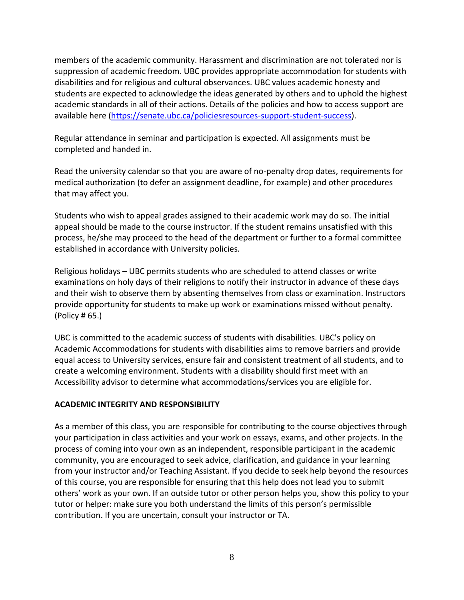members of the academic community. Harassment and discrimination are not tolerated nor is suppression of academic freedom. UBC provides appropriate accommodation for students with disabilities and for religious and cultural observances. UBC values academic honesty and students are expected to acknowledge the ideas generated by others and to uphold the highest academic standards in all of their actions. Details of the policies and how to access support are available here [\(https://senate.ubc.ca/policiesresources-support-student-success\)](https://senate.ubc.ca/policiesresources-support-student-success).

Regular attendance in seminar and participation is expected. All assignments must be completed and handed in.

Read the university calendar so that you are aware of no-penalty drop dates, requirements for medical authorization (to defer an assignment deadline, for example) and other procedures that may affect you.

Students who wish to appeal grades assigned to their academic work may do so. The initial appeal should be made to the course instructor. If the student remains unsatisfied with this process, he/she may proceed to the head of the department or further to a formal committee established in accordance with University policies.

Religious holidays – UBC permits students who are scheduled to attend classes or write examinations on holy days of their religions to notify their instructor in advance of these days and their wish to observe them by absenting themselves from class or examination. Instructors provide opportunity for students to make up work or examinations missed without penalty. (Policy # 65.)

UBC is committed to the academic success of students with disabilities. UBC's policy on Academic Accommodations for students with disabilities aims to remove barriers and provide equal access to University services, ensure fair and consistent treatment of all students, and to create a welcoming environment. Students with a disability should first meet with an Accessibility advisor to determine what accommodations/services you are eligible for.

# **ACADEMIC INTEGRITY AND RESPONSIBILITY**

As a member of this class, you are responsible for contributing to the course objectives through your participation in class activities and your work on essays, exams, and other projects. In the process of coming into your own as an independent, responsible participant in the academic community, you are encouraged to seek advice, clarification, and guidance in your learning from your instructor and/or Teaching Assistant. If you decide to seek help beyond the resources of this course, you are responsible for ensuring that this help does not lead you to submit others' work as your own. If an outside tutor or other person helps you, show this policy to your tutor or helper: make sure you both understand the limits of this person's permissible contribution. If you are uncertain, consult your instructor or TA.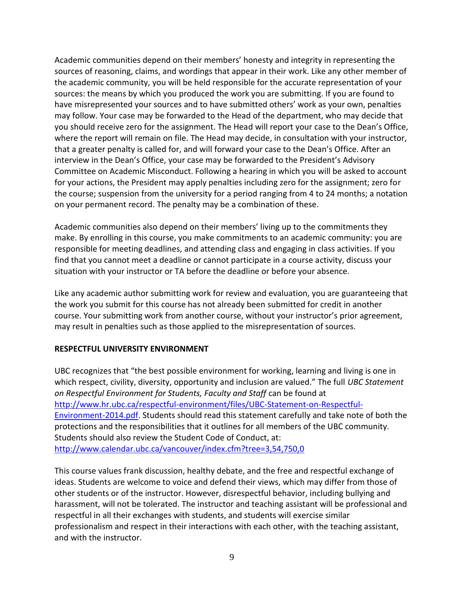Academic communities depend on their members' honesty and integrity in representing the sources of reasoning, claims, and wordings that appear in their work. Like any other member of the academic community, you will be held responsible for the accurate representation of your sources: the means by which you produced the work you are submitting. If you are found to have misrepresented your sources and to have submitted others' work as your own, penalties may follow. Your case may be forwarded to the Head of the department, who may decide that you should receive zero for the assignment. The Head will report your case to the Dean's Office, where the report will remain on file. The Head may decide, in consultation with your instructor, that a greater penalty is called for, and will forward your case to the Dean's Office. After an interview in the Dean's Office, your case may be forwarded to the President's Advisory Committee on Academic Misconduct. Following a hearing in which you will be asked to account for your actions, the President may apply penalties including zero for the assignment; zero for the course; suspension from the university for a period ranging from 4 to 24 months; a notation on your permanent record. The penalty may be a combination of these.

Academic communities also depend on their members' living up to the commitments they make. By enrolling in this course, you make commitments to an academic community: you are responsible for meeting deadlines, and attending class and engaging in class activities. If you find that you cannot meet a deadline or cannot participate in a course activity, discuss your situation with your instructor or TA before the deadline or before your absence.

Like any academic author submitting work for review and evaluation, you are guaranteeing that the work you submit for this course has not already been submitted for credit in another course. Your submitting work from another course, without your instructor's prior agreement, may result in penalties such as those applied to the misrepresentation of sources.

## **RESPECTFUL UNIVERSITY ENVIRONMENT**

UBC recognizes that "the best possible environment for working, learning and living is one in which respect, civility, diversity, opportunity and inclusion are valued." The full *UBC Statement on Respectful Environment for Students, Faculty and Staff* can be found at [http://www.hr.ubc.ca/respectful-environment/files/UBC-Statement-on-Respectful-](http://www.hr.ubc.ca/respectful-environment/files/UBC-Statement-on-Respectful-Environment-2014.pdf)[Environment-2014.pdf.](http://www.hr.ubc.ca/respectful-environment/files/UBC-Statement-on-Respectful-Environment-2014.pdf) Students should read this statement carefully and take note of both the protections and the responsibilities that it outlines for all members of the UBC community. Students should also review the Student Code of Conduct, at: <http://www.calendar.ubc.ca/vancouver/index.cfm?tree=3,54,750,0>

This course values frank discussion, healthy debate, and the free and respectful exchange of ideas. Students are welcome to voice and defend their views, which may differ from those of other students or of the instructor. However, disrespectful behavior, including bullying and harassment, will not be tolerated. The instructor and teaching assistant will be professional and respectful in all their exchanges with students, and students will exercise similar professionalism and respect in their interactions with each other, with the teaching assistant, and with the instructor.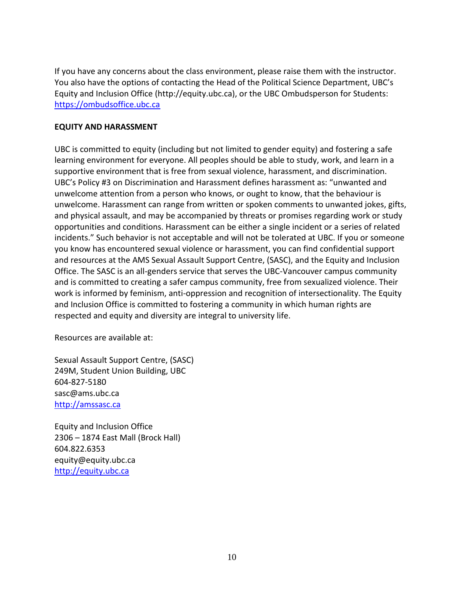If you have any concerns about the class environment, please raise them with the instructor. You also have the options of contacting the Head of the Political Science Department, UBC's Equity and Inclusion Office (http://equity.ubc.ca), or the UBC Ombudsperson for Students: [https://ombudsoffice.ubc.ca](https://ombudsoffice.ubc.ca/)

## **EQUITY AND HARASSMENT**

UBC is committed to equity (including but not limited to gender equity) and fostering a safe learning environment for everyone. All peoples should be able to study, work, and learn in a supportive environment that is free from sexual violence, harassment, and discrimination. UBC's Policy #3 on Discrimination and Harassment defines harassment as: "unwanted and unwelcome attention from a person who knows, or ought to know, that the behaviour is unwelcome. Harassment can range from written or spoken comments to unwanted jokes, gifts, and physical assault, and may be accompanied by threats or promises regarding work or study opportunities and conditions. Harassment can be either a single incident or a series of related incidents." Such behavior is not acceptable and will not be tolerated at UBC. If you or someone you know has encountered sexual violence or harassment, you can find confidential support and resources at the AMS Sexual Assault Support Centre, (SASC), and the Equity and Inclusion Office. The SASC is an all-genders service that serves the UBC-Vancouver campus community and is committed to creating a safer campus community, free from sexualized violence. Their work is informed by feminism, anti-oppression and recognition of intersectionality. The Equity and Inclusion Office is committed to fostering a community in which human rights are respected and equity and diversity are integral to university life.

Resources are available at:

Sexual Assault Support Centre, (SASC) 249M, Student Union Building, UBC 604-827-5180 [sasc@ams.ubc.ca](mailto:sasc@ams.ubc.ca) [http://amssasc.ca](http://amssasc.ca/)

Equity and Inclusion Office 2306 – 1874 East Mall (Brock Hall) 604.822.6353 [equity@equity.ubc.ca](mailto:equity@equity.ubc.ca) [http://equity.ubc.ca](http://equity.ubc.ca/)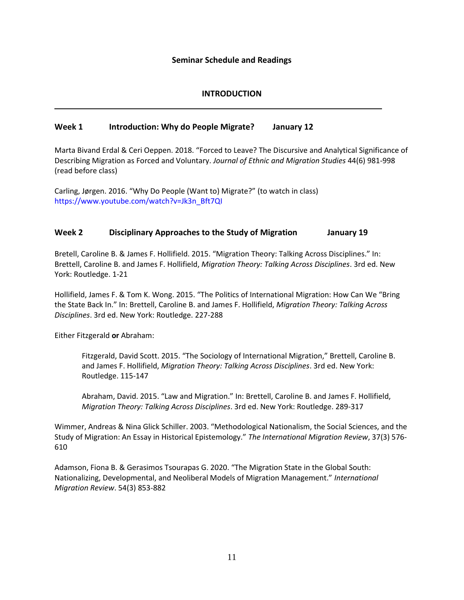#### **Seminar Schedule and Readings**

## **INTRODUCTION**

## **Week 1 Introduction: Why do People Migrate? January 12**

Marta Bivand Erdal & Ceri Oeppen. 2018. "Forced to Leave? The Discursive and Analytical Significance of Describing Migration as Forced and Voluntary. *Journal of Ethnic and Migration Studies* 44(6) 981-998 (read before class)

Carling, Jørgen. 2016. "Why Do People (Want to) Migrate?" (to watch in class) [https://www.youtube.com/watch?v=Jk3n\\_Bft7QI](https://www.youtube.com/watch?v=Jk3n_Bft7QI)

#### **Week 2 Disciplinary Approaches to the Study of Migration January 19**

Bretell, Caroline B. & James F. Hollifield. 2015. "Migration Theory: Talking Across Disciplines." In: Brettell, Caroline B. and James F. Hollifield, *Migration Theory: Talking Across Disciplines*. 3rd ed. New York: Routledge. 1-21

Hollifield, James F. & Tom K. Wong. 2015. "The Politics of International Migration: How Can We "Bring the State Back In." In: Brettell, Caroline B. and James F. Hollifield, *Migration Theory: Talking Across Disciplines*. 3rd ed. New York: Routledge. 227-288

Either Fitzgerald **or** Abraham:

Fitzgerald, David Scott. 2015. "The Sociology of International Migration," Brettell, Caroline B. and James F. Hollifield, *Migration Theory: Talking Across Disciplines*. 3rd ed. New York: Routledge. 115-147

Abraham, David. 2015. "Law and Migration." In: Brettell, Caroline B. and James F. Hollifield, *Migration Theory: Talking Across Disciplines*. 3rd ed. New York: Routledge. 289-317

Wimmer, Andreas & Nina Glick Schiller. 2003. "Methodological Nationalism, the Social Sciences, and the Study of Migration: An Essay in Historical Epistemology." *The International Migration Review*, 37(3) 576- 610

Adamson, Fiona B. & Gerasimos Tsourapas G. 2020. "The Migration State in the Global South: Nationalizing, Developmental, and Neoliberal Models of Migration Management." *International Migration Review*. 54(3) 853-882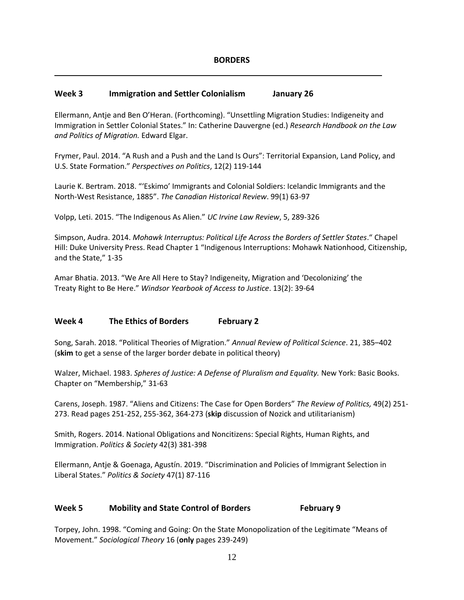#### **Week 3 Immigration and Settler Colonialism January 26**

Ellermann, Antje and Ben O'Heran. (Forthcoming). "Unsettling Migration Studies: Indigeneity and Immigration in Settler Colonial States." In: Catherine Dauvergne (ed.) *Research Handbook on the Law and Politics of Migration.* Edward Elgar.

Frymer, Paul. 2014. "A Rush and a Push and the Land Is Ours": Territorial Expansion, Land Policy, and U.S. State Formation." *Perspectives on Politics*, 12(2) 119-144

Laurie K. Bertram. 2018. "'Eskimo' Immigrants and Colonial Soldiers: Icelandic Immigrants and the North-West Resistance, 1885". *The Canadian Historical Review*. 99(1) 63-97

Volpp, Leti. 2015. "The Indigenous As Alien." *UC Irvine Law Review*, 5, 289-326

Simpson, Audra. 2014. *Mohawk Interruptus: Political Life Across the Borders of Settler States*." Chapel Hill: Duke University Press. Read Chapter 1 "Indigenous Interruptions: Mohawk Nationhood, Citizenship, and the State," 1-35

Amar Bhatia. 2013. "We Are All Here to Stay? Indigeneity, Migration and 'Decolonizing' the Treaty Right to Be Here." *Windsor Yearbook of Access to Justice*. 13(2): 39-64

#### **Week 4 The Ethics of Borders February 2**

Song, Sarah. 2018. "Political Theories of Migration." *Annual Review of Political Science*. 21, 385–402 (**skim** to get a sense of the larger border debate in political theory)

Walzer, Michael. 1983. *Spheres of Justice: A Defense of Pluralism and Equality.* New York: Basic Books. Chapter on "Membership," 31-63

Carens, Joseph. 1987. "Aliens and Citizens: The Case for Open Borders" *The Review of Politics,* 49(2) 251- 273. Read pages 251-252, 255-362, 364-273 (**skip** discussion of Nozick and utilitarianism)

Smith, Rogers. 2014. National Obligations and Noncitizens: Special Rights, Human Rights, and Immigration. *Politics & Society* 42(3) 381-398

Ellermann, Antje & Goenaga, Agustín. 2019. "Discrimination and Policies of Immigrant Selection in Liberal States." *Politics & Society* 47(1) 87-116

#### **Week 5 Mobility and State Control of Borders February 9**

Torpey, John. 1998. "Coming and Going: On the State Monopolization of the Legitimate "Means of Movement." *Sociological Theory* 16 (**only** pages 239-249)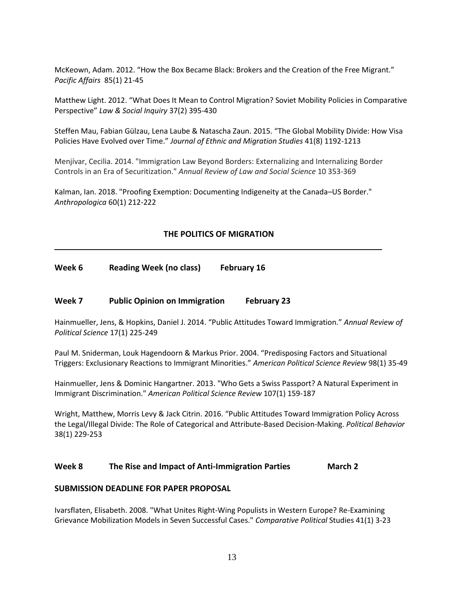McKeown, Adam. 2012. "How the Box Became Black: Brokers and the Creation of the Free Migrant." *Pacific Affairs* 85(1) 21-45

Matthew Light. 2012. "What Does It Mean to Control Migration? Soviet Mobility Policies in Comparative Perspective" *Law & Social Inquiry* 37(2) 395-430

Steffen Mau, Fabian Gülzau, Lena Laube & Natascha Zaun. 2015. "The Global Mobility Divide: How Visa Policies Have Evolved over Time." *Journal of Ethnic and Migration Studies* 41(8) 1192-1213

Menjívar, Cecilia. 2014. "Immigration Law Beyond Borders: Externalizing and Internalizing Border Controls in an Era of Securitization." *Annual Review of Law and Social Science* 10 353-369

Kalman, Ian. 2018. "Proofing Exemption: Documenting Indigeneity at the Canada–US Border." *Anthropologica* 60(1) 212-222

#### **THE POLITICS OF MIGRATION**

**Week 6 Reading Week (no class) February 16**

#### **Week 7 Public Opinion on Immigration February 23**

Hainmueller, Jens, & Hopkins, Daniel J. 2014. "Public Attitudes Toward Immigration." *Annual Review of Political Science* 17(1) 225-249

Paul M. Sniderman, Louk Hagendoorn & Markus Prior. 2004. "Predisposing Factors and Situational Triggers: Exclusionary Reactions to Immigrant Minorities." *American Political Science Review* 98(1) 35-49

Hainmueller, Jens & Dominic Hangartner. 2013. "Who Gets a Swiss Passport? A Natural Experiment in Immigrant Discrimination." *American Political Science Review* 107(1) 159-187

Wright, Matthew, Morris Levy & Jack Citrin. 2016. "Public Attitudes Toward Immigration Policy Across the Legal/Illegal Divide: The Role of Categorical and Attribute-Based Decision-Making. *Political Behavior* 38(1) 229-253

#### **Week 8 The Rise and Impact of Anti-Immigration Parties March 2**

#### **SUBMISSION DEADLINE FOR PAPER PROPOSAL**

Ivarsflaten, Elisabeth. 2008. "What Unites Right-Wing Populists in Western Europe? Re-Examining Grievance Mobilization Models in Seven Successful Cases." *Comparative Political* Studies 41(1) 3-23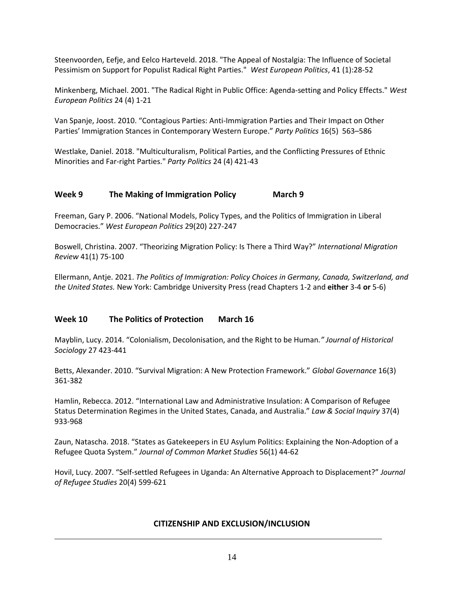Steenvoorden, Eefje, and Eelco Harteveld. 2018. "The Appeal of Nostalgia: The Influence of Societal Pessimism on Support for Populist Radical Right Parties." *West European Politics*, 41 (1):28-52

Minkenberg, Michael. 2001. "The Radical Right in Public Office: Agenda‐setting and Policy Effects." *West European Politics* 24 (4) 1-21

Van Spanje, Joost. 2010. "Contagious Parties: Anti-Immigration Parties and Their Impact on Other Parties' Immigration Stances in Contemporary Western Europe." *Party Politics* 16(5) 563–586

Westlake, Daniel. 2018. "Multiculturalism, Political Parties, and the Conflicting Pressures of Ethnic Minorities and Far-right Parties." *Party Politics* 24 (4) 421-43

## **Week 9 The Making of Immigration Policy March 9**

Freeman, Gary P. 2006. "National Models, Policy Types, and the Politics of Immigration in Liberal Democracies." *West European Politics* 29(20) 227-247

Boswell, Christina. 2007. "Theorizing Migration Policy: Is There a Third Way?" *International Migration Review* 41(1) 75-100

Ellermann, Antje. 2021. *The Politics of Immigration: Policy Choices in Germany, Canada, Switzerland, and the United States.* New York: Cambridge University Press (read Chapters 1-2 and **either** 3-4 **or** 5-6)

## **Week 10 The Politics of Protection March 16**

Mayblin, Lucy. 2014. "Colonialism, Decolonisation, and the Right to be Human*." Journal of Historical Sociology* 27 423-441

Betts, Alexander. 2010. "Survival Migration: A New Protection Framework." *Global Governance* 16(3) 361-382

Hamlin, Rebecca. 2012. "International Law and Administrative Insulation: A Comparison of Refugee Status Determination Regimes in the United States, Canada, and Australia." *Law & Social Inquiry* 37(4) 933-968

Zaun, Natascha. 2018. "States as Gatekeepers in EU Asylum Politics: Explaining the Non-Adoption of a Refugee Quota System." *Journal of Common Market Studies* 56(1) 44-62

Hovil, Lucy. 2007. "Self-settled Refugees in Uganda: An Alternative Approach to Displacement?" *Journal of Refugee Studies* 20(4) 599-621

#### **CITIZENSHIP AND EXCLUSION/INCLUSION**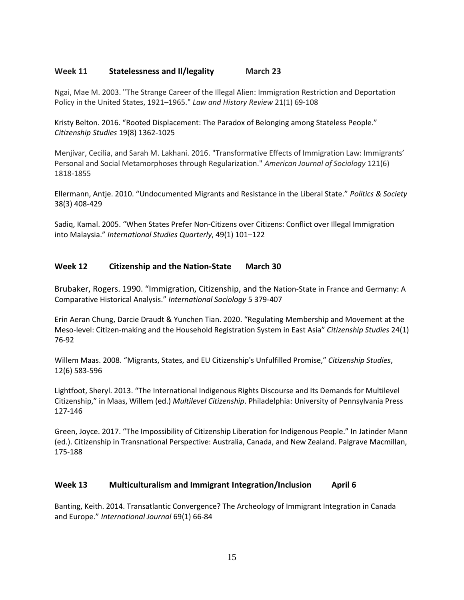#### **Week 11 Statelessness and Il/legality March 23**

Ngai, Mae M. 2003. "The Strange Career of the Illegal Alien: Immigration Restriction and Deportation Policy in the United States, 1921–1965." *Law and History Review* 21(1) 69-108

Kristy Belton. 2016. "Rooted Displacement: The Paradox of Belonging among Stateless People." *Citizenship Studies* 19(8) 1362-1025

Menjívar, Cecilia, and Sarah M. Lakhani. 2016. "Transformative Effects of Immigration Law: Immigrants' Personal and Social Metamorphoses through Regularization." *American Journal of Sociology* 121(6) 1818-1855

Ellermann, Antje. 2010. "Undocumented Migrants and Resistance in the Liberal State." *Politics & Society* 38(3) 408-429

Sadiq, Kamal. 2005. "When States Prefer Non-Citizens over Citizens: Conflict over Illegal Immigration into Malaysia." *International Studies Quarterly*, 49(1) 101–122

## **Week 12 Citizenship and the Nation-State March 30**

Brubaker, Rogers. 1990. "Immigration, Citizenship, and the Nation-State in France and Germany: A Comparative Historical Analysis." *International Sociology* 5 379-407

Erin Aeran Chung, Darcie Draudt & Yunchen Tian. 2020. "Regulating Membership and Movement at the Meso-level: Citizen-making and the Household Registration System in East Asia" *Citizenship Studies* 24(1) 76-92

Willem Maas. 2008. "Migrants, States, and EU Citizenship's Unfulfilled Promise," *Citizenship Studies*, 12(6) 583-596

Lightfoot, Sheryl. 2013. "The International Indigenous Rights Discourse and Its Demands for Multilevel Citizenship," in Maas, Willem (ed.) *Multilevel Citizenship*. Philadelphia: University of Pennsylvania Press 127-146

Green, Joyce. 2017. "The Impossibility of Citizenship Liberation for Indigenous People." In Jatinder Mann (ed.). Citizenship in Transnational Perspective: Australia, Canada, and New Zealand. Palgrave Macmillan, 175-188

## **Week 13 Multiculturalism and Immigrant Integration/Inclusion April 6**

Banting, Keith. 2014. Transatlantic Convergence? The Archeology of Immigrant Integration in Canada and Europe." *International Journal* 69(1) 66-84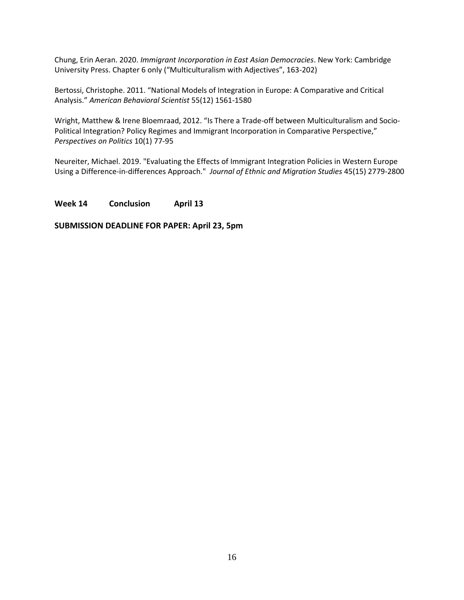Chung, Erin Aeran. 2020. *Immigrant Incorporation in East Asian Democracies*. New York: Cambridge University Press. Chapter 6 only ("Multiculturalism with Adjectives", 163-202)

Bertossi, Christophe. 2011. "National Models of Integration in Europe: A Comparative and Critical Analysis." *American Behavioral Scientist* 55(12) 1561-1580

Wright, Matthew & Irene Bloemraad, 2012. "Is There a Trade-off between Multiculturalism and Socio-Political Integration? Policy Regimes and Immigrant Incorporation in Comparative Perspective," *Perspectives on Politics* 10(1) 77-95

Neureiter, Michael. 2019. "Evaluating the Effects of Immigrant Integration Policies in Western Europe Using a Difference-in-differences Approach." *Journal of Ethnic and Migration Studies* 45(15) 2779-2800

#### **Week 14 Conclusion April 13**

#### **SUBMISSION DEADLINE FOR PAPER: April 23, 5pm**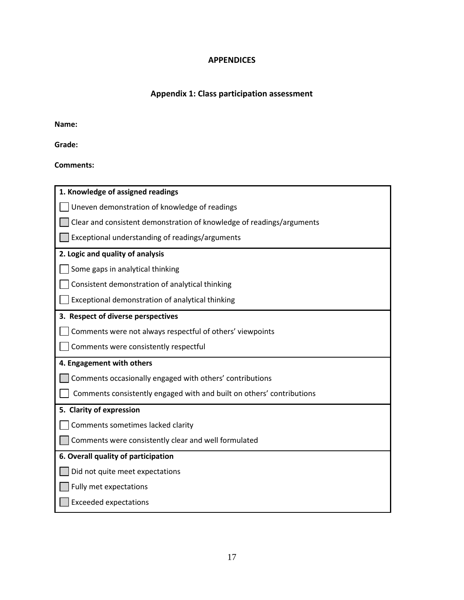# **APPENDICES**

# **Appendix 1: Class participation assessment**

**Name:**

**Grade:** 

**Comments:** 

| 1. Knowledge of assigned readings                                     |
|-----------------------------------------------------------------------|
| Uneven demonstration of knowledge of readings                         |
| Clear and consistent demonstration of knowledge of readings/arguments |
| Exceptional understanding of readings/arguments                       |
| 2. Logic and quality of analysis                                      |
| Some gaps in analytical thinking                                      |
| Consistent demonstration of analytical thinking                       |
| Exceptional demonstration of analytical thinking                      |
| 3. Respect of diverse perspectives                                    |
| Comments were not always respectful of others' viewpoints             |
| Comments were consistently respectful                                 |
| 4. Engagement with others                                             |
| Comments occasionally engaged with others' contributions              |
| Comments consistently engaged with and built on others' contributions |
| 5. Clarity of expression                                              |
| Comments sometimes lacked clarity                                     |
| Comments were consistently clear and well formulated                  |
| 6. Overall quality of participation                                   |
| Did not quite meet expectations                                       |
| Fully met expectations                                                |
| <b>Exceeded expectations</b>                                          |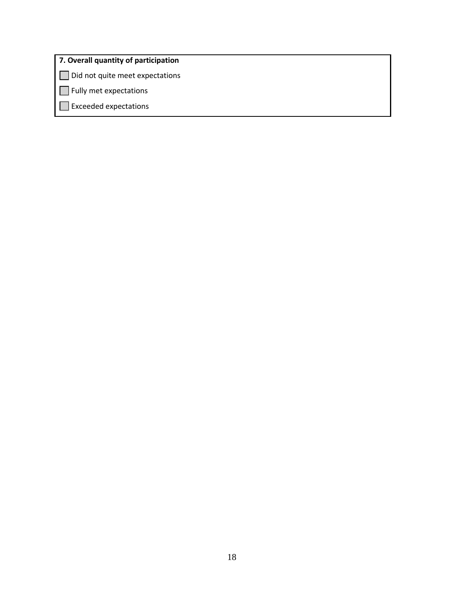# **7. Overall quantity of participation**

Did not quite meet expectations

**Fully met expectations** 

Exceeded expectations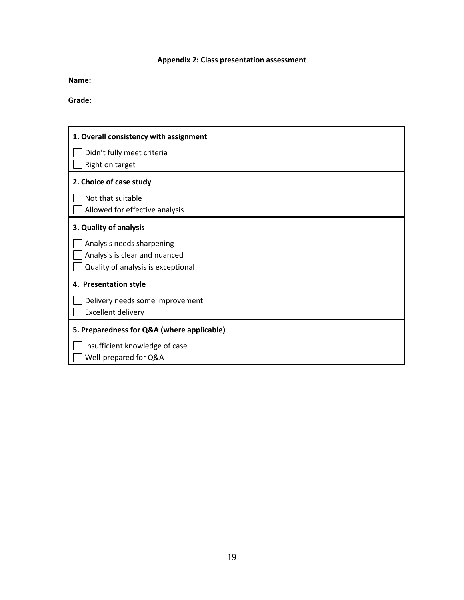# **Appendix 2: Class presentation assessment**

**Name:**

**Grade:**

| 1. Overall consistency with assignment     |
|--------------------------------------------|
| Didn't fully meet criteria                 |
| Right on target                            |
| 2. Choice of case study                    |
| Not that suitable                          |
| Allowed for effective analysis             |
| 3. Quality of analysis                     |
| Analysis needs sharpening                  |
| Analysis is clear and nuanced              |
| Quality of analysis is exceptional         |
| 4. Presentation style                      |
| Delivery needs some improvement            |
| <b>Excellent delivery</b>                  |
| 5. Preparedness for Q&A (where applicable) |
| Insufficient knowledge of case             |
| Well-prepared for Q&A                      |